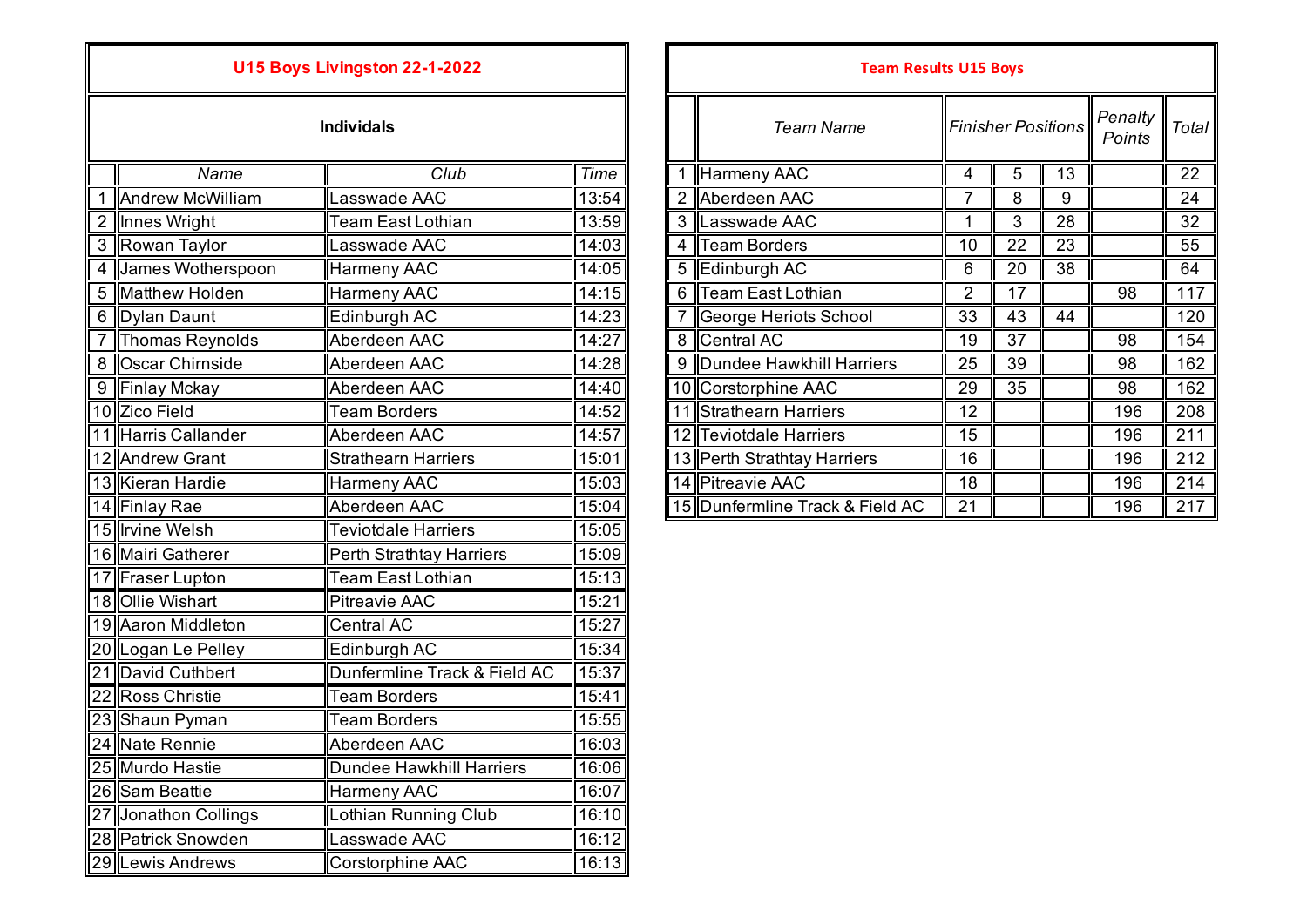## **U15 Boys Livingston 22-1-2022**

|  | <b>Individals</b> |  |  |  |
|--|-------------------|--|--|--|
|  |                   |  |  |  |
|  |                   |  |  |  |
|  |                   |  |  |  |

| Club<br>Name<br><b>Andrew McWilliam</b><br>1<br>Lasswade AAC<br>2 Innes Wright<br><b>Team East Lothian</b><br>$\mathfrak{S}$<br>Rowan Taylor<br>Lasswade AAC<br>James Wotherspoon<br><b>Harmeny AAC</b><br>$\overline{4}$<br><b>Matthew Holden</b><br>Harmeny AAC<br>5<br>Dylan Daunt<br>6<br>Edinburgh AC | <b>Time</b><br>13:54<br>13:59<br>14:03<br>14:05<br>14:15 |
|------------------------------------------------------------------------------------------------------------------------------------------------------------------------------------------------------------------------------------------------------------------------------------------------------------|----------------------------------------------------------|
|                                                                                                                                                                                                                                                                                                            |                                                          |
|                                                                                                                                                                                                                                                                                                            |                                                          |
|                                                                                                                                                                                                                                                                                                            |                                                          |
|                                                                                                                                                                                                                                                                                                            |                                                          |
|                                                                                                                                                                                                                                                                                                            |                                                          |
|                                                                                                                                                                                                                                                                                                            |                                                          |
|                                                                                                                                                                                                                                                                                                            | 14:23                                                    |
| $\overline{7}$<br>Aberdeen AAC<br><b>Thomas Reynolds</b>                                                                                                                                                                                                                                                   | 14:27                                                    |
| Oscar Chirnside<br>Aberdeen AAC<br>8                                                                                                                                                                                                                                                                       | 14:28                                                    |
| 9 <sup>1</sup><br>Aberdeen AAC<br><b>Finlay Mckay</b>                                                                                                                                                                                                                                                      | 14:40                                                    |
| 10 Zico Field<br><b>Team Borders</b>                                                                                                                                                                                                                                                                       | 14:52                                                    |
| 11 Harris Callander<br>Aberdeen AAC                                                                                                                                                                                                                                                                        | 14:57                                                    |
| 12 Andrew Grant<br><b>Strathearn Harriers</b>                                                                                                                                                                                                                                                              | 15:01                                                    |
| 13 Kieran Hardie<br>Harmeny AAC                                                                                                                                                                                                                                                                            | 15:03                                                    |
| Aberdeen AAC<br>14 Finlay Rae                                                                                                                                                                                                                                                                              | 15:04                                                    |
| 15 Irvine Welsh<br><b>Teviotdale Harriers</b>                                                                                                                                                                                                                                                              | 15:05                                                    |
| 16 Mairi Gatherer<br><b>Perth Strathtay Harriers</b>                                                                                                                                                                                                                                                       | 15:09                                                    |
| <b>Team East Lothian</b><br>17 Fraser Lupton                                                                                                                                                                                                                                                               | 15:13                                                    |
| 18 Ollie Wishart<br><b>Pitreavie AAC</b>                                                                                                                                                                                                                                                                   | 15:21                                                    |
| 19 Aaron Middleton<br><b>Central AC</b>                                                                                                                                                                                                                                                                    | 15:27                                                    |
| 20 Logan Le Pelley<br>Edinburgh AC                                                                                                                                                                                                                                                                         | 15:34                                                    |
| Dunfermline Track & Field AC<br>21 David Cuthbert                                                                                                                                                                                                                                                          | 15:37                                                    |
| 22 Ross Christie<br><b>Team Borders</b>                                                                                                                                                                                                                                                                    | 15:41                                                    |
| <b>Team Borders</b><br>23 Shaun Pyman                                                                                                                                                                                                                                                                      | 15:55                                                    |
| 24 Nate Rennie<br>Aberdeen AAC                                                                                                                                                                                                                                                                             | 16:03                                                    |
| 25 Murdo Hastie<br><b>Dundee Hawkhill Harriers</b>                                                                                                                                                                                                                                                         | 16:06                                                    |
| 26 Sam Beattie<br><b>Harmeny AAC</b>                                                                                                                                                                                                                                                                       | 16:07                                                    |
| Lothian Running Club<br>Jonathon Collings<br>27                                                                                                                                                                                                                                                            | 16:10                                                    |
| 28 Patrick Snowden<br>Lasswade AAC                                                                                                                                                                                                                                                                         | 16:12                                                    |
| 29 Lewis Andrews<br>Corstorphine AAC                                                                                                                                                                                                                                                                       | 16:13                                                    |

| U15 Boys Livingston 22-1-2022 |                     |                            |        |  | <b>Team Results U15 Boys</b>    |                |                           |    |                   |       |
|-------------------------------|---------------------|----------------------------|--------|--|---------------------------------|----------------|---------------------------|----|-------------------|-------|
|                               |                     | <b>Individals</b>          |        |  | <b>Team Name</b>                |                | <b>Finisher Positions</b> |    | Penalty<br>Points | Total |
|                               | Name                | Club                       | Time   |  | Harmeny AAC                     | 4              | 5                         | 13 |                   | 22    |
|                               | Andrew McWilliam    | asswade AAC                | 13:54  |  | 2 Aberdeen AAC                  | 7              | 8                         | 9  |                   | 24    |
|                               | 2 Innes Wright      | Team East Lothian          | 13:59∥ |  | 3 Lasswade AAC                  |                | 3                         | 28 |                   | 32    |
|                               | 3 Rowan Taylor      | asswade AAC                | 14:03  |  | 4 Team Borders                  | 10             | 22                        | 23 |                   | 55    |
|                               | 4 James Wotherspoon | Harmeny AAC                | 14:05  |  | 5 Edinburgh AC                  | 6              | 20                        | 38 |                   | 64    |
|                               | 5 Matthew Holden    | Harmeny AAC                | 14:15  |  | 6 Team East Lothian             | $\overline{2}$ | 17                        |    | 98                | 117   |
|                               | 6 Dylan Daunt       | Edinburgh AC               | 14:23  |  | George Heriots School           | 33             | 43                        | 44 |                   | 120   |
|                               | Thomas Reynolds     | Aberdeen AAC               | 14:27  |  | 8 Central AC                    | 19             | 37                        |    | 98                | 154   |
|                               | 8 Oscar Chirnside   | Aberdeen AAC               | 14:28  |  | 9 Dundee Hawkhill Harriers      | 25             | 39                        |    | 98                | 162   |
|                               | 9 Finlay Mckay      | Aberdeen AAC               | 14:40  |  | 10 Corstorphine AAC             | 29             | 35                        |    | 98                | 162   |
|                               | 10 Zico Field       | <b>Team Borders</b>        | 14:52  |  | 11 Strathearn Harriers          | 12             |                           |    | 196               | 208   |
|                               | 11 Harris Callander | Aberdeen AAC               | 14:57  |  | 12 Teviotdale Harriers          | 15             |                           |    | 196               | 211   |
|                               | 12 Andrew Grant     | <b>Strathearn Harriers</b> | 15:01  |  | 13 Perth Strathtay Harriers     | 16             |                           |    | 196               | 212   |
|                               | 13 Kieran Hardie    | Harmeny AAC                | 15:03  |  | 14 Pitreavie AAC                | 18             |                           |    | 196               | 214   |
|                               | 14 Finlay Rae       | Aberdeen AAC               | 15:04  |  | 15 Dunfermline Track & Field AC | 21             |                           |    | 196               | 217   |